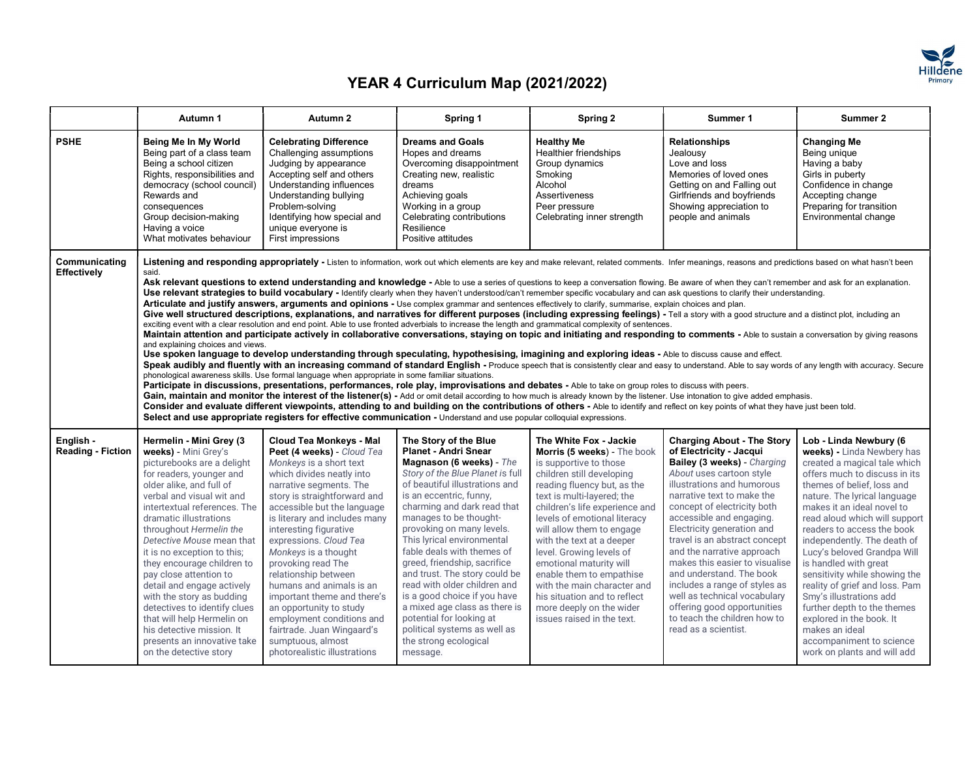

|                                       | Autumn 1                                                                                                                                                                                                                                                                                                                                                                                                                                                                                                                                                                                                                                                                                                                                                                                                                                                                                                                                                                                                                                                                                                                                                                                                                                                                                                                                                                                                                                                                                                                                                                                                                                                                                                                                                                                                                                                                                                                                                                                                                                                                                                                                                                                                                                                                                                                                                                                                                                                                                     | Autumn 2                                                                                                                                                                                                                                                                                                                                                                                                                                                                                                                                                                        | Spring 1                                                                                                                                                                                                                                                                                                                                                                                                                                                                                                                                                                                               | Spring 2                                                                                                                                                                                                                                                                                                                                                                                                                                                                                                          | Summer 1                                                                                                                                                                                                                                                                                                                                                                                                                                                                                                                                                          | Summer 2                                                                                                                                                                                                                                                                                                                                                                                                                                                                                                                                                                                                      |
|---------------------------------------|----------------------------------------------------------------------------------------------------------------------------------------------------------------------------------------------------------------------------------------------------------------------------------------------------------------------------------------------------------------------------------------------------------------------------------------------------------------------------------------------------------------------------------------------------------------------------------------------------------------------------------------------------------------------------------------------------------------------------------------------------------------------------------------------------------------------------------------------------------------------------------------------------------------------------------------------------------------------------------------------------------------------------------------------------------------------------------------------------------------------------------------------------------------------------------------------------------------------------------------------------------------------------------------------------------------------------------------------------------------------------------------------------------------------------------------------------------------------------------------------------------------------------------------------------------------------------------------------------------------------------------------------------------------------------------------------------------------------------------------------------------------------------------------------------------------------------------------------------------------------------------------------------------------------------------------------------------------------------------------------------------------------------------------------------------------------------------------------------------------------------------------------------------------------------------------------------------------------------------------------------------------------------------------------------------------------------------------------------------------------------------------------------------------------------------------------------------------------------------------------|---------------------------------------------------------------------------------------------------------------------------------------------------------------------------------------------------------------------------------------------------------------------------------------------------------------------------------------------------------------------------------------------------------------------------------------------------------------------------------------------------------------------------------------------------------------------------------|--------------------------------------------------------------------------------------------------------------------------------------------------------------------------------------------------------------------------------------------------------------------------------------------------------------------------------------------------------------------------------------------------------------------------------------------------------------------------------------------------------------------------------------------------------------------------------------------------------|-------------------------------------------------------------------------------------------------------------------------------------------------------------------------------------------------------------------------------------------------------------------------------------------------------------------------------------------------------------------------------------------------------------------------------------------------------------------------------------------------------------------|-------------------------------------------------------------------------------------------------------------------------------------------------------------------------------------------------------------------------------------------------------------------------------------------------------------------------------------------------------------------------------------------------------------------------------------------------------------------------------------------------------------------------------------------------------------------|---------------------------------------------------------------------------------------------------------------------------------------------------------------------------------------------------------------------------------------------------------------------------------------------------------------------------------------------------------------------------------------------------------------------------------------------------------------------------------------------------------------------------------------------------------------------------------------------------------------|
| <b>PSHE</b>                           | Being Me In My World<br>Being part of a class team<br>Being a school citizen<br>Rights, responsibilities and<br>democracy (school council)<br>Rewards and<br>consequences<br>Group decision-making<br>Having a voice<br>What motivates behaviour                                                                                                                                                                                                                                                                                                                                                                                                                                                                                                                                                                                                                                                                                                                                                                                                                                                                                                                                                                                                                                                                                                                                                                                                                                                                                                                                                                                                                                                                                                                                                                                                                                                                                                                                                                                                                                                                                                                                                                                                                                                                                                                                                                                                                                             | <b>Celebrating Difference</b><br>Challenging assumptions<br>Judging by appearance<br>Accepting self and others<br>Understanding influences<br>Understanding bullying<br>Problem-solving<br>Identifying how special and<br>unique everyone is<br>First impressions                                                                                                                                                                                                                                                                                                               | <b>Dreams and Goals</b><br>Hopes and dreams<br>Overcoming disappointment<br>Creating new, realistic<br>dreams<br>Achieving goals<br>Working in a group<br>Celebrating contributions<br>Resilience<br>Positive attitudes                                                                                                                                                                                                                                                                                                                                                                                | <b>Healthy Me</b><br><b>Healthier friendships</b><br>Group dynamics<br>Smokina<br>Alcohol<br><b>Assertiveness</b><br>Peer pressure<br>Celebrating inner strength                                                                                                                                                                                                                                                                                                                                                  | <b>Relationships</b><br>Jealousy<br>Love and loss<br>Memories of loved ones<br>Getting on and Falling out<br>Girlfriends and boyfriends<br>Showing appreciation to<br>people and animals                                                                                                                                                                                                                                                                                                                                                                          | <b>Changing Me</b><br>Being unique<br>Having a baby<br>Girls in puberty<br>Confidence in change<br>Accepting change<br>Preparing for transition<br>Environmental change                                                                                                                                                                                                                                                                                                                                                                                                                                       |
| Communicating<br>Effectively          | Listening and responding appropriately - Listen to information, work out which elements are key and make relevant, related comments. Infer meanings, reasons and predictions based on what hasn't been<br>said.<br>Ask relevant questions to extend understanding and knowledge - Able to use a series of questions to keep a conversation flowing. Be aware of when they can't remember and ask for an explanation.<br>Use relevant strategies to build vocabulary - Identify clearly when they haven't understood/can't remember specific vocabulary and can ask questions to clarify their understanding.<br>Articulate and justify answers, arguments and opinions - Use complex grammar and sentences effectively to clarify, summarise, explain choices and plan.<br>Give well structured descriptions, explanations, and narratives for different purposes (including expressing feelings) - Tell a story with a good structure and a distinct plot, including an<br>exciting event with a clear resolution and end point. Able to use fronted adverbials to increase the length and grammatical complexity of sentences.<br>Maintain attention and participate actively in collaborative conversations, staying on topic and initiating and responding to comments - Able to sustain a conversation by giving reasons<br>and explaining choices and views.<br>Use spoken language to develop understanding through speculating, hypothesising, imagining and exploring ideas - Able to discuss cause and effect.<br>Speak audibly and fluently with an increasing command of standard English - Produce speech that is consistently clear and easy to understand. Able to say words of any length with accuracy. Secure<br>phonological awareness skills. Use formal language when appropriate in some familiar situations.<br>Participate in discussions, presentations, performances, role play, improvisations and debates - Able to take on group roles to discuss with peers.<br>Gain, maintain and monitor the interest of the listener(s) - Add or omit detail according to how much is already known by the listener. Use intonation to give added emphasis.<br>Consider and evaluate different viewpoints, attending to and building on the contributions of others - Able to identify and reflect on key points of what they have just been told.<br>Select and use appropriate registers for effective communication - Understand and use popular colloquial expressions. |                                                                                                                                                                                                                                                                                                                                                                                                                                                                                                                                                                                 |                                                                                                                                                                                                                                                                                                                                                                                                                                                                                                                                                                                                        |                                                                                                                                                                                                                                                                                                                                                                                                                                                                                                                   |                                                                                                                                                                                                                                                                                                                                                                                                                                                                                                                                                                   |                                                                                                                                                                                                                                                                                                                                                                                                                                                                                                                                                                                                               |
| English -<br><b>Reading - Fiction</b> | Hermelin - Mini Grey (3<br>weeks) - Mini Grey's<br>picturebooks are a delight<br>for readers, younger and<br>older alike, and full of<br>verbal and visual wit and<br>intertextual references. The<br>dramatic illustrations<br>throughout Hermelin the<br>Detective Mouse mean that<br>it is no exception to this;<br>they encourage children to<br>pay close attention to<br>detail and engage actively<br>with the story as budding<br>detectives to identify clues<br>that will help Hermelin on<br>his detective mission. It<br>presents an innovative take<br>on the detective story                                                                                                                                                                                                                                                                                                                                                                                                                                                                                                                                                                                                                                                                                                                                                                                                                                                                                                                                                                                                                                                                                                                                                                                                                                                                                                                                                                                                                                                                                                                                                                                                                                                                                                                                                                                                                                                                                                   | <b>Cloud Tea Monkeys - Mal</b><br>Peet (4 weeks) - Cloud Tea<br>Monkeys is a short text<br>which divides neatly into<br>narrative segments. The<br>story is straightforward and<br>accessible but the language<br>is literary and includes many<br>interesting figurative<br>expressions. Cloud Tea<br>Monkeys is a thought<br>provoking read The<br>relationship between<br>humans and animals is an<br>important theme and there's<br>an opportunity to study<br>employment conditions and<br>fairtrade. Juan Wingaard's<br>sumptuous, almost<br>photorealistic illustrations | The Story of the Blue<br><b>Planet - Andri Snear</b><br>Magnason (6 weeks) - The<br>Story of the Blue Planet is full<br>of beautiful illustrations and<br>is an eccentric, funny,<br>charming and dark read that<br>manages to be thought-<br>provoking on many levels.<br>This lyrical environmental<br>fable deals with themes of<br>greed, friendship, sacrifice<br>and trust. The story could be<br>read with older children and<br>is a good choice if you have<br>a mixed age class as there is<br>potential for looking at<br>political systems as well as<br>the strong ecological<br>message. | The White Fox - Jackie<br>Morris (5 weeks) - The book<br>is supportive to those<br>children still developing<br>reading fluency but, as the<br>text is multi-layered; the<br>children's life experience and<br>levels of emotional literacy<br>will allow them to engage<br>with the text at a deeper<br>level. Growing levels of<br>emotional maturity will<br>enable them to empathise<br>with the main character and<br>his situation and to reflect<br>more deeply on the wider<br>issues raised in the text. | <b>Charging About - The Story</b><br>of Electricity - Jacqui<br>Bailey (3 weeks) - Charging<br>About uses cartoon style<br>illustrations and humorous<br>narrative text to make the<br>concept of electricity both<br>accessible and engaging.<br>Electricity generation and<br>travel is an abstract concept<br>and the narrative approach<br>makes this easier to visualise<br>and understand. The book<br>includes a range of styles as<br>well as technical vocabulary<br>offering good opportunities<br>to teach the children how to<br>read as a scientist. | Lob - Linda Newbury (6<br>weeks) - Linda Newbery has<br>created a magical tale which<br>offers much to discuss in its<br>themes of belief, loss and<br>nature. The lyrical language<br>makes it an ideal novel to<br>read aloud which will support<br>readers to access the book<br>independently. The death of<br>Lucy's beloved Grandpa Will<br>is handled with great<br>sensitivity while showing the<br>reality of grief and loss. Pam<br>Smy's illustrations add<br>further depth to the themes<br>explored in the book. It<br>makes an ideal<br>accompaniment to science<br>work on plants and will add |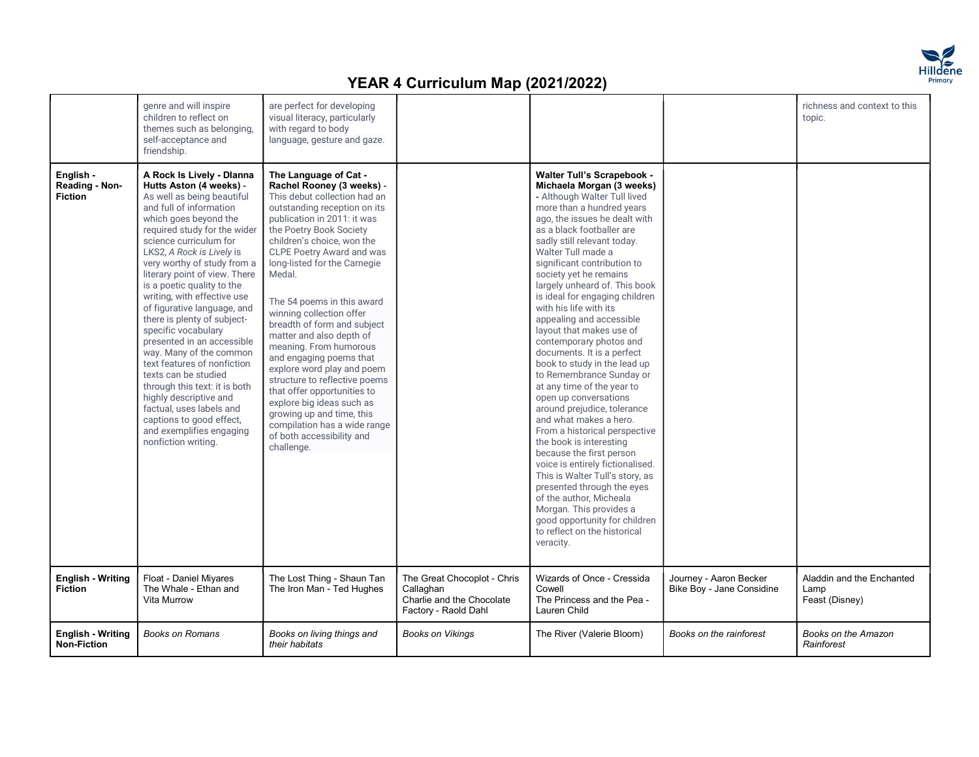

| and exemplifies engaging<br>From a historical perspective<br>of both accessibility and | nonfiction writing.<br>the book is interesting<br>challenge.<br>because the first person<br>voice is entirely fictionalised.<br>This is Walter Tull's story, as<br>presented through the eyes<br>of the author. Micheala<br>Morgan. This provides a<br>good opportunity for children<br>to reflect on the historical<br>veracity.<br>The Great Chocoplot - Chris<br>Wizards of Once - Cressida<br>Aladdin and the Enchanted<br><b>English - Writing</b><br>Float - Daniel Miyares<br>The Lost Thing - Shaun Tan<br>Journey - Aaron Becker<br>The Whale - Ethan and<br><b>Fiction</b><br>The Iron Man - Ted Hughes<br>Callaghan<br>Cowell<br>Bike Boy - Jane Considine<br>Lamp<br>Charlie and the Chocolate<br>Vita Murrow<br>The Princess and the Pea -<br>Feast (Disney)<br>Factory - Raold Dahl<br>Lauren Child | <b>English - Writing</b><br><b>Books on Romans</b><br>Books on living things and<br><b>Books on Vikings</b><br>The River (Valerie Bloom)<br>Books on the rainforest<br>Books on the Amazon<br><b>Non-Fiction</b><br>Rainforest<br>their habitats | English -<br>Reading - Non-<br><b>Fiction</b> | genre and will inspire<br>children to reflect on<br>themes such as belonging.<br>self-acceptance and<br>friendship.<br>A Rock Is Lively - Dlanna<br>Hutts Aston (4 weeks) -<br>As well as being beautiful<br>and full of information<br>which goes beyond the<br>required study for the wider<br>science curriculum for<br>LKS2, A Rock is Lively is<br>very worthy of study from a<br>literary point of view. There<br>is a poetic quality to the<br>writing, with effective use<br>of figurative language, and<br>there is plenty of subject-<br>specific vocabulary<br>presented in an accessible<br>way. Many of the common<br>text features of nonfiction<br>texts can be studied<br>through this text: it is both<br>highly descriptive and<br>factual, uses labels and<br>captions to good effect, | are perfect for developing<br>visual literacy, particularly<br>with regard to body<br>language, gesture and gaze.<br>The Language of Cat -<br>Rachel Rooney (3 weeks) -<br>This debut collection had an<br>outstanding reception on its<br>publication in 2011: it was<br>the Poetry Book Society<br>children's choice, won the<br>CLPE Poetry Award and was<br>long-listed for the Carnegie<br>Medal.<br>The 54 poems in this award<br>winning collection offer<br>breadth of form and subject<br>matter and also depth of<br>meaning. From humorous<br>and engaging poems that<br>explore word play and poem<br>structure to reflective poems<br>that offer opportunities to<br>explore big ideas such as<br>growing up and time, this<br>compilation has a wide range |  | <b>Walter Tull's Scrapebook -</b><br>Michaela Morgan (3 weeks)<br>- Although Walter Tull lived<br>more than a hundred years<br>ago, the issues he dealt with<br>as a black footballer are<br>sadly still relevant today.<br>Walter Tull made a<br>significant contribution to<br>society yet he remains<br>largely unheard of. This book<br>is ideal for engaging children<br>with his life with its<br>appealing and accessible<br>layout that makes use of<br>contemporary photos and<br>documents. It is a perfect<br>book to study in the lead up<br>to Remembrance Sunday or<br>at any time of the year to<br>open up conversations<br>around prejudice, tolerance<br>and what makes a hero. |  | richness and context to this<br>topic. |
|----------------------------------------------------------------------------------------|-------------------------------------------------------------------------------------------------------------------------------------------------------------------------------------------------------------------------------------------------------------------------------------------------------------------------------------------------------------------------------------------------------------------------------------------------------------------------------------------------------------------------------------------------------------------------------------------------------------------------------------------------------------------------------------------------------------------------------------------------------------------------------------------------------------------|--------------------------------------------------------------------------------------------------------------------------------------------------------------------------------------------------------------------------------------------------|-----------------------------------------------|-----------------------------------------------------------------------------------------------------------------------------------------------------------------------------------------------------------------------------------------------------------------------------------------------------------------------------------------------------------------------------------------------------------------------------------------------------------------------------------------------------------------------------------------------------------------------------------------------------------------------------------------------------------------------------------------------------------------------------------------------------------------------------------------------------------|--------------------------------------------------------------------------------------------------------------------------------------------------------------------------------------------------------------------------------------------------------------------------------------------------------------------------------------------------------------------------------------------------------------------------------------------------------------------------------------------------------------------------------------------------------------------------------------------------------------------------------------------------------------------------------------------------------------------------------------------------------------------------|--|---------------------------------------------------------------------------------------------------------------------------------------------------------------------------------------------------------------------------------------------------------------------------------------------------------------------------------------------------------------------------------------------------------------------------------------------------------------------------------------------------------------------------------------------------------------------------------------------------------------------------------------------------------------------------------------------------|--|----------------------------------------|
|----------------------------------------------------------------------------------------|-------------------------------------------------------------------------------------------------------------------------------------------------------------------------------------------------------------------------------------------------------------------------------------------------------------------------------------------------------------------------------------------------------------------------------------------------------------------------------------------------------------------------------------------------------------------------------------------------------------------------------------------------------------------------------------------------------------------------------------------------------------------------------------------------------------------|--------------------------------------------------------------------------------------------------------------------------------------------------------------------------------------------------------------------------------------------------|-----------------------------------------------|-----------------------------------------------------------------------------------------------------------------------------------------------------------------------------------------------------------------------------------------------------------------------------------------------------------------------------------------------------------------------------------------------------------------------------------------------------------------------------------------------------------------------------------------------------------------------------------------------------------------------------------------------------------------------------------------------------------------------------------------------------------------------------------------------------------|--------------------------------------------------------------------------------------------------------------------------------------------------------------------------------------------------------------------------------------------------------------------------------------------------------------------------------------------------------------------------------------------------------------------------------------------------------------------------------------------------------------------------------------------------------------------------------------------------------------------------------------------------------------------------------------------------------------------------------------------------------------------------|--|---------------------------------------------------------------------------------------------------------------------------------------------------------------------------------------------------------------------------------------------------------------------------------------------------------------------------------------------------------------------------------------------------------------------------------------------------------------------------------------------------------------------------------------------------------------------------------------------------------------------------------------------------------------------------------------------------|--|----------------------------------------|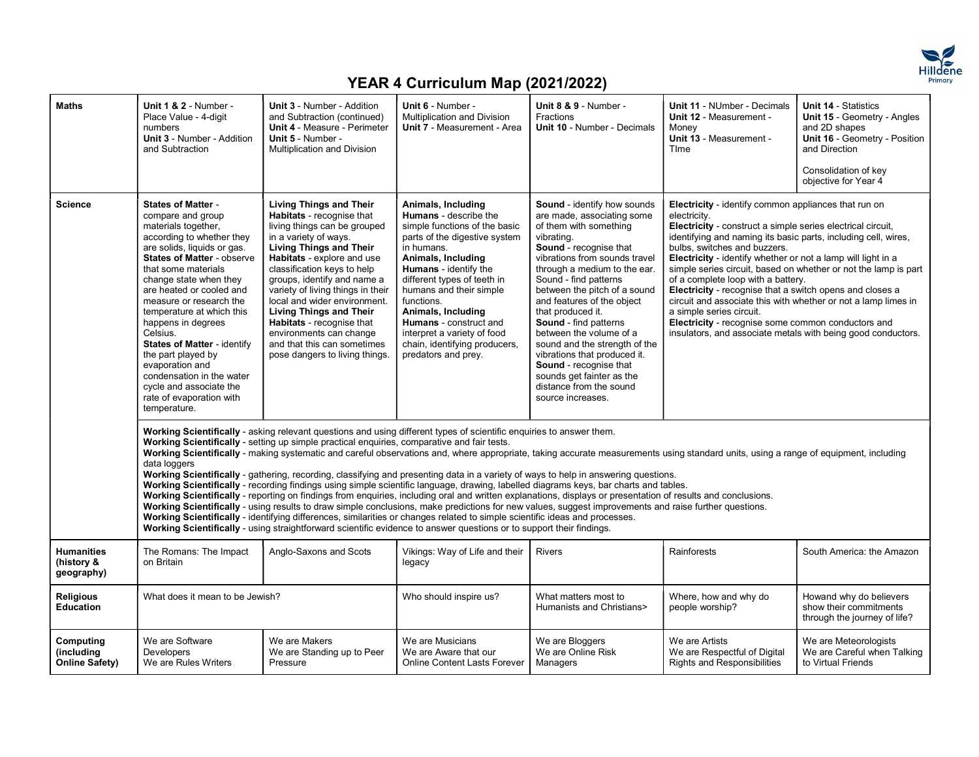

| <b>Maths</b>                                  | Unit 1 & 2 - Number -<br>Place Value - 4-digit<br>numbers<br><b>Unit 3 - Number - Addition</b><br>and Subtraction                                                                                                                                                                                                                                                                                                                                                                                                         | Unit 3 - Number - Addition<br>and Subtraction (continued)<br><b>Unit 4 - Measure - Perimeter</b><br>Unit 5 - Number -<br>Multiplication and Division                                                                                                                                                                                                                                                                                                                               | Unit 6 - Number -<br>Multiplication and Division<br>Unit 7 - Measurement - Area                                                                                                                                                                                                                                                                                                                                | Unit 8 & 9 - Number -<br>Fractions<br>Unit 10 - Number - Decimals                                                                                                                                                                                                                                                                                                                                                                                                                                                                                                                                                                                                                                                                                                                             | Unit 11 - NUmber - Decimals<br>Unit 12 - Measurement -<br>Money<br>Unit 13 - Measurement -<br>Time                                                                                                                                                                                                                                                                                                                                                                                                                                                                                                                                                                                                    | Unit 14 - Statistics<br>Unit 15 - Geometry - Angles<br>and 2D shapes<br>Unit 16 - Geometry - Position<br>and Direction<br>Consolidation of key<br>objective for Year 4 |
|-----------------------------------------------|---------------------------------------------------------------------------------------------------------------------------------------------------------------------------------------------------------------------------------------------------------------------------------------------------------------------------------------------------------------------------------------------------------------------------------------------------------------------------------------------------------------------------|------------------------------------------------------------------------------------------------------------------------------------------------------------------------------------------------------------------------------------------------------------------------------------------------------------------------------------------------------------------------------------------------------------------------------------------------------------------------------------|----------------------------------------------------------------------------------------------------------------------------------------------------------------------------------------------------------------------------------------------------------------------------------------------------------------------------------------------------------------------------------------------------------------|-----------------------------------------------------------------------------------------------------------------------------------------------------------------------------------------------------------------------------------------------------------------------------------------------------------------------------------------------------------------------------------------------------------------------------------------------------------------------------------------------------------------------------------------------------------------------------------------------------------------------------------------------------------------------------------------------------------------------------------------------------------------------------------------------|-------------------------------------------------------------------------------------------------------------------------------------------------------------------------------------------------------------------------------------------------------------------------------------------------------------------------------------------------------------------------------------------------------------------------------------------------------------------------------------------------------------------------------------------------------------------------------------------------------------------------------------------------------------------------------------------------------|------------------------------------------------------------------------------------------------------------------------------------------------------------------------|
| <b>Science</b>                                | <b>States of Matter -</b><br>compare and group<br>materials together,<br>according to whether they<br>are solids, liquids or gas.<br>States of Matter - observe<br>that some materials<br>change state when they<br>are heated or cooled and<br>measure or research the<br>temperature at which this<br>happens in degrees<br>Celsius.<br><b>States of Matter - identify</b><br>the part played by<br>evaporation and<br>condensation in the water<br>cycle and associate the<br>rate of evaporation with<br>temperature. | <b>Living Things and Their</b><br>Habitats - recognise that<br>living things can be grouped<br>in a variety of ways.<br><b>Living Things and Their</b><br>Habitats - explore and use<br>classification keys to help<br>groups, identify and name a<br>variety of living things in their<br>local and wider environment.<br><b>Living Things and Their</b><br>Habitats - recognise that<br>environments can change<br>and that this can sometimes<br>pose dangers to living things. | Animals, Including<br><b>Humans</b> - describe the<br>simple functions of the basic<br>parts of the digestive system<br>in humans.<br>Animals, Including<br><b>Humans</b> - identify the<br>different types of teeth in<br>humans and their simple<br>functions.<br>Animals, Including<br><b>Humans</b> - construct and<br>interpret a variety of food<br>chain, identifying producers,<br>predators and prey. | Sound - identify how sounds<br>are made, associating some<br>of them with something<br>vibrating.<br>Sound - recognise that<br>vibrations from sounds travel<br>through a medium to the ear.<br>Sound - find patterns<br>between the pitch of a sound<br>and features of the object<br>that produced it.<br><b>Sound</b> - find patterns<br>between the volume of a<br>sound and the strength of the<br>vibrations that produced it.<br>Sound - recognise that<br>sounds get fainter as the<br>distance from the sound<br>source increases.                                                                                                                                                                                                                                                   | Electricity - identify common appliances that run on<br>electricity.<br><b>Electricity</b> - construct a simple series electrical circuit,<br>identifying and naming its basic parts, including cell, wires,<br>bulbs, switches and buzzers.<br>Electricity - identify whether or not a lamp will light in a<br>simple series circuit, based on whether or not the lamp is part<br>of a complete loop with a battery.<br>Electricity - recognise that a switch opens and closes a<br>circuit and associate this with whether or not a lamp limes in<br>a simple series circuit.<br>Electricity - recognise some common conductors and<br>insulators, and associate metals with being good conductors. |                                                                                                                                                                        |
|                                               | data loggers                                                                                                                                                                                                                                                                                                                                                                                                                                                                                                              | Working Scientifically - asking relevant questions and using different types of scientific enquiries to answer them.<br>Working Scientifically - setting up simple practical enquiries, comparative and fair tests.<br>Working Scientifically - identifying differences, similarities or changes related to simple scientific ideas and processes.<br>Working Scientifically - using straightforward scientific evidence to answer questions or to support their findings.         |                                                                                                                                                                                                                                                                                                                                                                                                                | Working Scientifically - making systematic and careful observations and, where appropriate, taking accurate measurements using standard units, using a range of equipment, including<br>Working Scientifically - gathering, recording, classifying and presenting data in a variety of ways to help in answering questions.<br>Working Scientifically - recording findings using simple scientific language, drawing, labelled diagrams keys, bar charts and tables.<br>Working Scientifically - reporting on findings from enquiries, including oral and written explanations, displays or presentation of results and conclusions.<br>Working Scientifically - using results to draw simple conclusions, make predictions for new values, suggest improvements and raise further questions. |                                                                                                                                                                                                                                                                                                                                                                                                                                                                                                                                                                                                                                                                                                       |                                                                                                                                                                        |
| <b>Humanities</b><br>(history &<br>geography) | The Romans: The Impact<br>on Britain                                                                                                                                                                                                                                                                                                                                                                                                                                                                                      | Anglo-Saxons and Scots                                                                                                                                                                                                                                                                                                                                                                                                                                                             | Vikings: Way of Life and their<br>legacy                                                                                                                                                                                                                                                                                                                                                                       | <b>Rivers</b>                                                                                                                                                                                                                                                                                                                                                                                                                                                                                                                                                                                                                                                                                                                                                                                 | Rainforests                                                                                                                                                                                                                                                                                                                                                                                                                                                                                                                                                                                                                                                                                           | South America: the Amazon                                                                                                                                              |
| <b>Religious</b><br>Education                 | What does it mean to be Jewish?                                                                                                                                                                                                                                                                                                                                                                                                                                                                                           |                                                                                                                                                                                                                                                                                                                                                                                                                                                                                    | Who should inspire us?                                                                                                                                                                                                                                                                                                                                                                                         | What matters most to<br>Humanists and Christians>                                                                                                                                                                                                                                                                                                                                                                                                                                                                                                                                                                                                                                                                                                                                             | Where, how and why do<br>people worship?                                                                                                                                                                                                                                                                                                                                                                                                                                                                                                                                                                                                                                                              | Howand why do believers<br>show their commitments<br>through the journey of life?                                                                                      |
| Computing<br>(including<br>Online Safety)     | We are Software<br>Developers<br>We are Rules Writers                                                                                                                                                                                                                                                                                                                                                                                                                                                                     | We are Makers<br>We are Standing up to Peer<br>Pressure                                                                                                                                                                                                                                                                                                                                                                                                                            | We are Musicians<br>We are Aware that our<br><b>Online Content Lasts Forever</b>                                                                                                                                                                                                                                                                                                                               | We are Bloggers<br>We are Online Risk<br>Managers                                                                                                                                                                                                                                                                                                                                                                                                                                                                                                                                                                                                                                                                                                                                             | We are Artists<br>We are Respectful of Digital<br><b>Rights and Responsibilities</b>                                                                                                                                                                                                                                                                                                                                                                                                                                                                                                                                                                                                                  | We are Meteorologists<br>We are Careful when Talking<br>to Virtual Friends                                                                                             |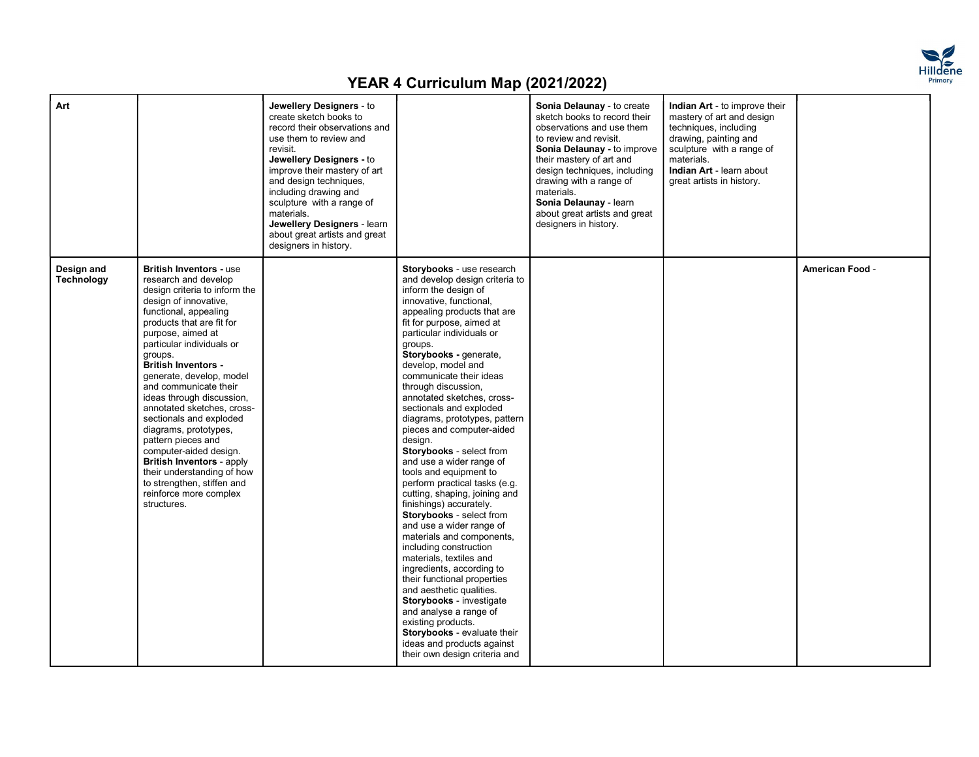

| Art                      |                                                                                                                                                                                                                                                                                                                                                                                                                                                                                                                                                                                                                                | Jewellery Designers - to<br>create sketch books to<br>record their observations and<br>use them to review and<br>revisit.<br>Jewellery Designers - to<br>improve their mastery of art<br>and design techniques,<br>including drawing and<br>sculpture with a range of<br>materials.<br>Jewellery Designers - learn<br>about great artists and great<br>designers in history. |                                                                                                                                                                                                                                                                                                                                                                                                                                                                                                                                                                                                                                                                                                                                                                                                                                                                                                                                                                                                                                                          | Sonia Delaunay - to create<br>sketch books to record their<br>observations and use them<br>to review and revisit.<br>Sonia Delaunay - to improve<br>their mastery of art and<br>design techniques, including<br>drawing with a range of<br>materials.<br>Sonia Delaunay - learn<br>about great artists and great<br>designers in history. | Indian Art - to improve their<br>mastery of art and design<br>techniques, including<br>drawing, painting and<br>sculpture with a range of<br>materials.<br>Indian Art - learn about<br>great artists in history. |                 |
|--------------------------|--------------------------------------------------------------------------------------------------------------------------------------------------------------------------------------------------------------------------------------------------------------------------------------------------------------------------------------------------------------------------------------------------------------------------------------------------------------------------------------------------------------------------------------------------------------------------------------------------------------------------------|------------------------------------------------------------------------------------------------------------------------------------------------------------------------------------------------------------------------------------------------------------------------------------------------------------------------------------------------------------------------------|----------------------------------------------------------------------------------------------------------------------------------------------------------------------------------------------------------------------------------------------------------------------------------------------------------------------------------------------------------------------------------------------------------------------------------------------------------------------------------------------------------------------------------------------------------------------------------------------------------------------------------------------------------------------------------------------------------------------------------------------------------------------------------------------------------------------------------------------------------------------------------------------------------------------------------------------------------------------------------------------------------------------------------------------------------|-------------------------------------------------------------------------------------------------------------------------------------------------------------------------------------------------------------------------------------------------------------------------------------------------------------------------------------------|------------------------------------------------------------------------------------------------------------------------------------------------------------------------------------------------------------------|-----------------|
| Design and<br>Technology | <b>British Inventors - use</b><br>research and develop<br>design criteria to inform the<br>design of innovative,<br>functional, appealing<br>products that are fit for<br>purpose, aimed at<br>particular individuals or<br>groups.<br><b>British Inventors -</b><br>generate, develop, model<br>and communicate their<br>ideas through discussion,<br>annotated sketches, cross-<br>sectionals and exploded<br>diagrams, prototypes,<br>pattern pieces and<br>computer-aided design.<br><b>British Inventors - apply</b><br>their understanding of how<br>to strengthen, stiffen and<br>reinforce more complex<br>structures. |                                                                                                                                                                                                                                                                                                                                                                              | Storybooks - use research<br>and develop design criteria to<br>inform the design of<br>innovative, functional,<br>appealing products that are<br>fit for purpose, aimed at<br>particular individuals or<br>groups.<br>Storybooks - generate,<br>develop, model and<br>communicate their ideas<br>through discussion,<br>annotated sketches, cross-<br>sectionals and exploded<br>diagrams, prototypes, pattern<br>pieces and computer-aided<br>design.<br>Storybooks - select from<br>and use a wider range of<br>tools and equipment to<br>perform practical tasks (e.g.<br>cutting, shaping, joining and<br>finishings) accurately.<br>Storybooks - select from<br>and use a wider range of<br>materials and components,<br>including construction<br>materials, textiles and<br>ingredients, according to<br>their functional properties<br>and aesthetic qualities.<br><b>Storybooks</b> - investigate<br>and analyse a range of<br>existing products.<br>Storybooks - evaluate their<br>ideas and products against<br>their own design criteria and |                                                                                                                                                                                                                                                                                                                                           |                                                                                                                                                                                                                  | American Food - |